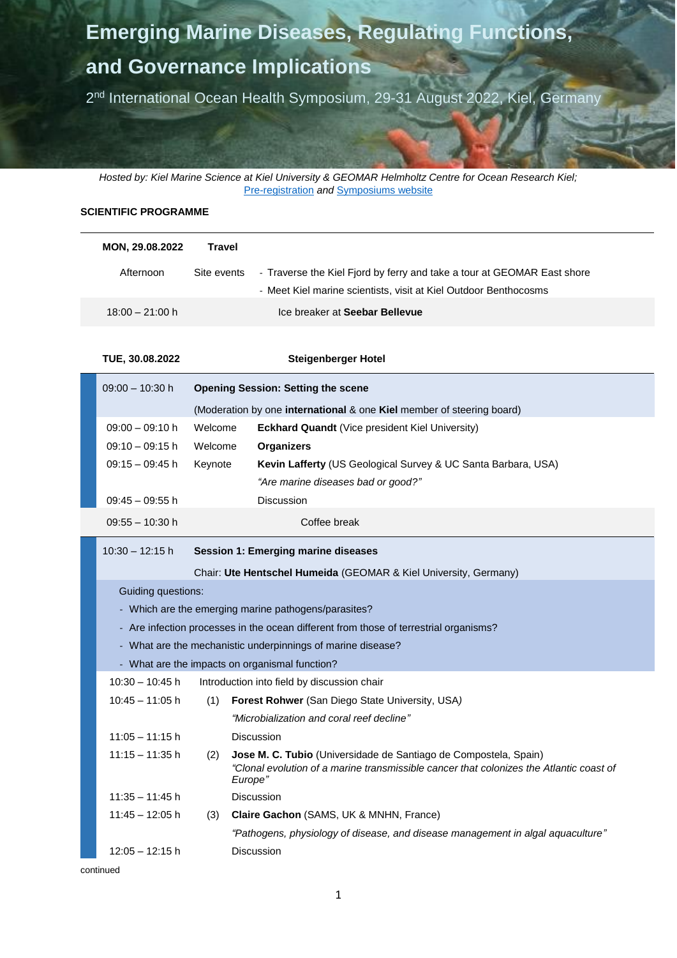# **Emerging Marine Diseases, Regulating Functions,**

## **and Governance Implications**

2<sup>nd</sup> International Ocean Health Symposium, 29-31 August 2022, Kiel, Germany

*Hosted by: Kiel Marine Science at Kiel University & GEOMAR Helmholtz Centre for Ocean Research Kiel;*  [Pre-registration](https://docs.google.com/forms/d/e/1FAIpQLSe35QG4EZdpHkoJwUCyjXFy6lA4at1eng1ndrty69Lv4WJPFQ/viewform) *and* [Symposiums website](https://events.geomar.de/event/2/)

### **SCIENTIFIC PROGRAMME**

| <b>MON, 29.08.2022</b> | Travel      |                                                                         |
|------------------------|-------------|-------------------------------------------------------------------------|
| Afternoon              | Site events | - Traverse the Kiel Fjord by ferry and take a tour at GEOMAR East shore |
|                        |             | - Meet Kiel marine scientists, visit at Kiel Outdoor Benthocosms        |
| $18:00 - 21:00$ h      |             | Ice breaker at Seebar Bellevue                                          |

**TUE, 30.08.2022 Steigenberger Hotel**

| $09:00 - 10:30 h$ | <b>Opening Session: Setting the scene</b>                                           |                                                                      |  |
|-------------------|-------------------------------------------------------------------------------------|----------------------------------------------------------------------|--|
|                   | (Moderation by one <b>international</b> & one <b>Kiel</b> member of steering board) |                                                                      |  |
| $09:00 - 09:10 h$ | Welcome                                                                             | <b>Eckhard Quandt</b> (Vice president Kiel University)               |  |
| $09:10 - 09:15 h$ | Welcome                                                                             | <b>Organizers</b>                                                    |  |
| $09:15 - 09:45 h$ | Keynote                                                                             | <b>Kevin Lafferty</b> (US Geological Survey & UC Santa Barbara, USA) |  |
|                   |                                                                                     | "Are marine diseases bad or good?"                                   |  |
| $09:45 - 09:55 h$ |                                                                                     | <b>Discussion</b>                                                    |  |
| $09:55 - 10:30$ h |                                                                                     | Coffee break                                                         |  |

#### 10:30 – 12:15 h **Session 1: Emerging marine diseases**

Chair: **Ute Hentschel Humeida** (GEOMAR & Kiel University, Germany)

Guiding questions:

- Which are the emerging marine pathogens/parasites?
- Are infection processes in the ocean different from those of terrestrial organisms?
- What are the mechanistic underpinnings of marine disease?
- What are the impacts on organismal function?

| $10:30 - 10:45$ h | Introduction into field by discussion chair |                                                                                                                                                                               |
|-------------------|---------------------------------------------|-------------------------------------------------------------------------------------------------------------------------------------------------------------------------------|
| $10:45 - 11:05$ h | (1)                                         | <b>Forest Rohwer</b> (San Diego State University, USA)                                                                                                                        |
|                   |                                             | "Microbialization and coral reef decline"                                                                                                                                     |
| $11:05 - 11:15$ h |                                             | <b>Discussion</b>                                                                                                                                                             |
| $11:15 - 11:35$ h | (2)                                         | <b>Jose M. C. Tubio</b> (Universidade de Santiago de Compostela, Spain)<br>"Clonal evolution of a marine transmissible cancer that colonizes the Atlantic coast of<br>Europe" |
| $11:35 - 11:45$ h |                                             | <b>Discussion</b>                                                                                                                                                             |
| $11:45 - 12:05$ h | (3)                                         | <b>Claire Gachon</b> (SAMS, UK & MNHN, France)                                                                                                                                |
|                   |                                             | "Pathogens, physiology of disease, and disease management in algal aguaculture"                                                                                               |
| $12:05 - 12:15$ h |                                             | Discussion                                                                                                                                                                    |
|                   |                                             |                                                                                                                                                                               |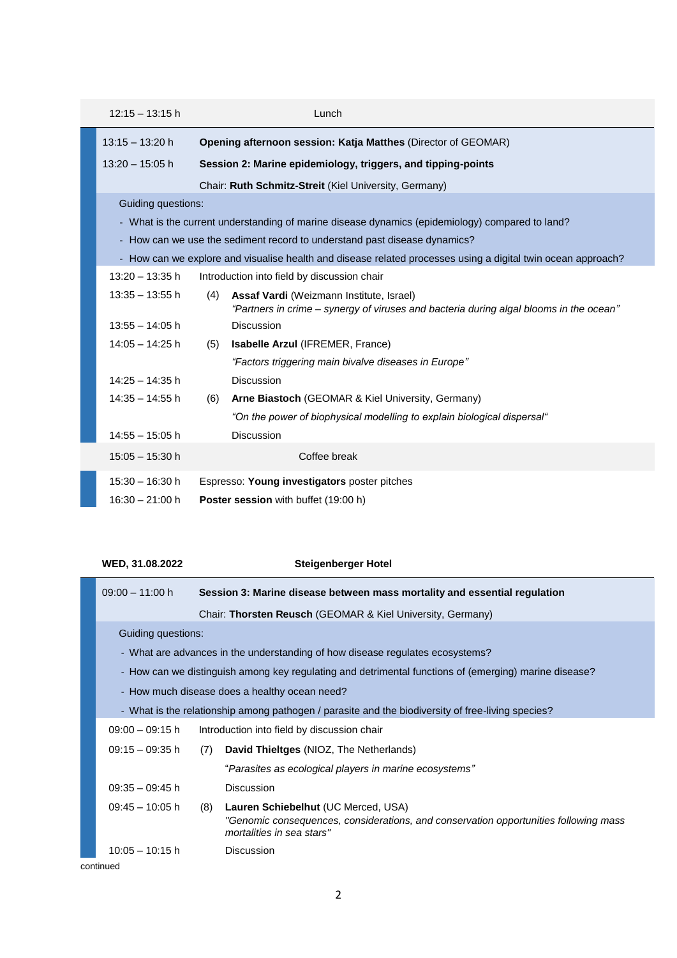| $12:15 - 13:15$ h                                                                               |     | Lunch                                                                                                                              |
|-------------------------------------------------------------------------------------------------|-----|------------------------------------------------------------------------------------------------------------------------------------|
| $13:15 - 13:20$ h                                                                               |     | <b>Opening afternoon session: Katja Matthes (Director of GEOMAR)</b>                                                               |
| $13:20 - 15:05$ h                                                                               |     | Session 2: Marine epidemiology, triggers, and tipping-points                                                                       |
|                                                                                                 |     | Chair: Ruth Schmitz-Streit (Kiel University, Germany)                                                                              |
| Guiding questions:                                                                              |     |                                                                                                                                    |
| - What is the current understanding of marine disease dynamics (epidemiology) compared to land? |     |                                                                                                                                    |
| - How can we use the sediment record to understand past disease dynamics?                       |     |                                                                                                                                    |
|                                                                                                 |     | - How can we explore and visualise health and disease related processes using a digital twin ocean approach?                       |
| $13:20 - 13:35$ h                                                                               |     | Introduction into field by discussion chair                                                                                        |
| $13:35 - 13:55$ h                                                                               | (4) | Assaf Vardi (Weizmann Institute, Israel)<br>"Partners in crime – synergy of viruses and bacteria during algal blooms in the ocean" |
| $13:55 - 14:05$ h                                                                               |     | <b>Discussion</b>                                                                                                                  |
| $14:05 - 14:25$ h                                                                               | (5) | Isabelle Arzul (IFREMER, France)                                                                                                   |
|                                                                                                 |     | "Factors triggering main bivalve diseases in Europe"                                                                               |
| $14:25 - 14:35$ h                                                                               |     | Discussion                                                                                                                         |
| $14:35 - 14:55$ h                                                                               | (6) | <b>Arne Biastoch</b> (GEOMAR & Kiel University, Germany)                                                                           |
|                                                                                                 |     | "On the power of biophysical modelling to explain biological dispersal"                                                            |
| $14:55 - 15:05$ h                                                                               |     | <b>Discussion</b>                                                                                                                  |
| $15:05 - 15:30$ h                                                                               |     | Coffee break                                                                                                                       |
| $15:30 - 16:30 h$                                                                               |     | Espresso: Young investigators poster pitches                                                                                       |
| $16:30 - 21:00 h$                                                                               |     | <b>Poster session</b> with buffet (19:00 h)                                                                                        |

### **WED, 31.08.2022 Steigenberger Hotel**

| $09:00 - 11:00 h$                                                                                     |     | Session 3: Marine disease between mass mortality and essential regulation                                                   |
|-------------------------------------------------------------------------------------------------------|-----|-----------------------------------------------------------------------------------------------------------------------------|
| Chair: Thorsten Reusch (GEOMAR & Kiel University, Germany)                                            |     |                                                                                                                             |
| Guiding questions:                                                                                    |     |                                                                                                                             |
| - What are advances in the understanding of how disease regulates ecosystems?                         |     |                                                                                                                             |
| - How can we distinguish among key regulating and detrimental functions of (emerging) marine disease? |     |                                                                                                                             |
| - How much disease does a healthy ocean need?                                                         |     |                                                                                                                             |
| - What is the relationship among pathogen / parasite and the biodiversity of free-living species?     |     |                                                                                                                             |
| $09:00 - 09:15 h$                                                                                     |     | Introduction into field by discussion chair                                                                                 |
| $09:15 - 09:35 h$                                                                                     | (7) | David Thieltges (NIOZ, The Netherlands)                                                                                     |
|                                                                                                       |     | "Parasites as ecological players in marine ecosystems"                                                                      |
| $09:35 - 09:45 h$                                                                                     |     | <b>Discussion</b>                                                                                                           |
| $09:45 - 10:05 h$                                                                                     | (8) | Lauren Schiebelhut (UC Merced, USA)<br>"Genomic consequences, considerations, and conservation opportunities following mass |
|                                                                                                       |     | mortalities in sea stars"                                                                                                   |
| $10:05 - 10:15$ h                                                                                     |     | <b>Discussion</b>                                                                                                           |
| continued                                                                                             |     |                                                                                                                             |